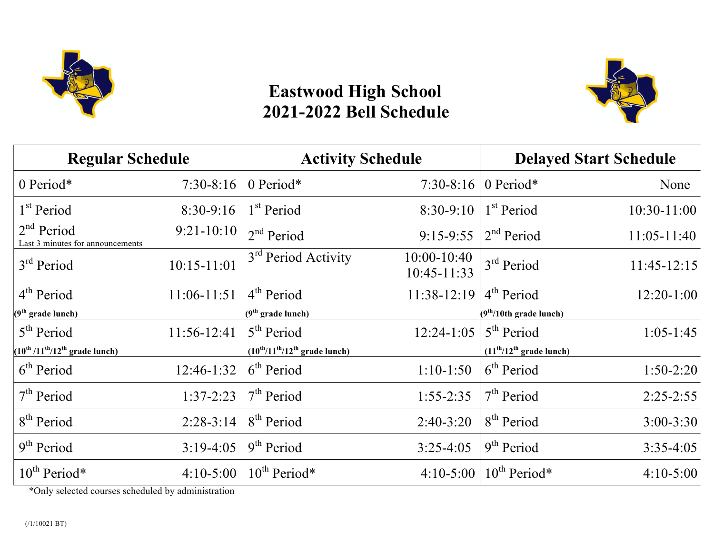

## **Eastwood High School 2021-2022 Bell Schedule**



| <b>Regular Schedule</b>                                              |                 | <b>Activity Schedule</b>                                             |                                | <b>Delayed Start Schedule</b> |                 |
|----------------------------------------------------------------------|-----------------|----------------------------------------------------------------------|--------------------------------|-------------------------------|-----------------|
| 0 Period*                                                            | $7:30-8:16$     | 0 Period*                                                            | $7:30-8:16$                    | 0 Period*                     | None            |
| 1 <sup>st</sup> Period                                               | 8:30-9:16       | 1 <sup>st</sup> Period                                               | 8:30-9:10                      | 1 <sup>st</sup> Period        | 10:30-11:00     |
| 2 <sup>nd</sup> Period<br>Last 3 minutes for announcements           | $9:21-10:10$    | 2 <sup>nd</sup> Period                                               | $9:15-9:55$                    | 2 <sup>nd</sup> Period        | $11:05 - 11:40$ |
| $3rd$ Period                                                         | $10:15 - 11:01$ | 3 <sup>rd</sup> Period Activity                                      | $10:00 - 10:40$<br>10:45-11:33 | 3 <sup>rd</sup> Period        | 11:45-12:15     |
| 4 <sup>th</sup> Period                                               | 11:06-11:51     | 4 <sup>th</sup> Period                                               | 11:38-12:19                    | 4 <sup>th</sup> Period        | $12:20-1:00$    |
| (9 <sup>th</sup> grade lunch)                                        |                 | $(9th$ grade lunch)                                                  |                                | $(9th/10th grad$ e lunch)     |                 |
| 5 <sup>th</sup> Period                                               | 11:56-12:41     | 5 <sup>th</sup> Period                                               | $12:24-1:05$                   | 5 <sup>th</sup> Period        | $1:05-1:45$     |
| $(10^{\text{th}}/11^{\text{th}}/12^{\text{th}} \text{ grade lunch})$ |                 | $(10^{\text{th}}/11^{\text{th}}/12^{\text{th}} \text{ grade lunch})$ |                                | $(11th/12th$ grade lunch)     |                 |
| 6 <sup>th</sup> Period                                               | 12:46-1:32      | 6 <sup>th</sup> Period                                               | $1:10-1:50$                    | 6 <sup>th</sup> Period        | $1:50-2:20$     |
| 7 <sup>th</sup> Period                                               | $1:37-2:23$     | 7 <sup>th</sup> Period                                               | $1:55 - 2:35$                  | 7 <sup>th</sup> Period        | $2:25-2:55$     |
| 8 <sup>th</sup> Period                                               | $2:28-3:14$     | 8 <sup>th</sup> Period                                               | $2:40-3:20$                    | 8 <sup>th</sup> Period        | $3:00 - 3:30$   |
| 9 <sup>th</sup> Period                                               | $3:19-4:05$     | 9 <sup>th</sup> Period                                               | $3:25-4:05$                    | 9 <sup>th</sup> Period        | $3:35-4:05$     |
| $10^{th}$ Period*                                                    | $4:10-5:00$     | $10^{th}$ Period*                                                    | $4:10-5:00$                    | $10^{th}$ Period*             | $4:10-5:00$     |

\*Only selected courses scheduled by administration